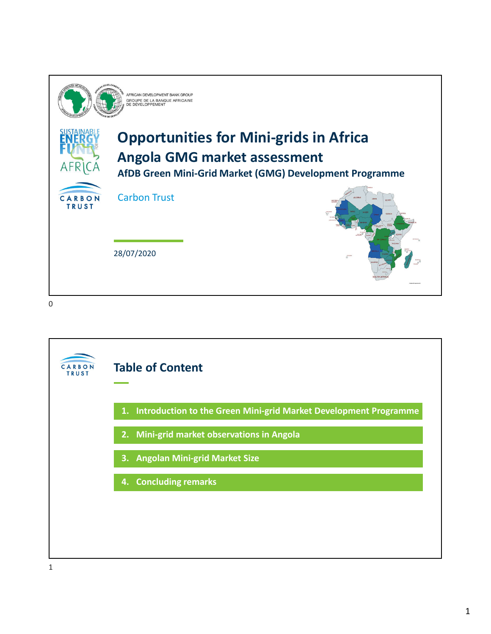

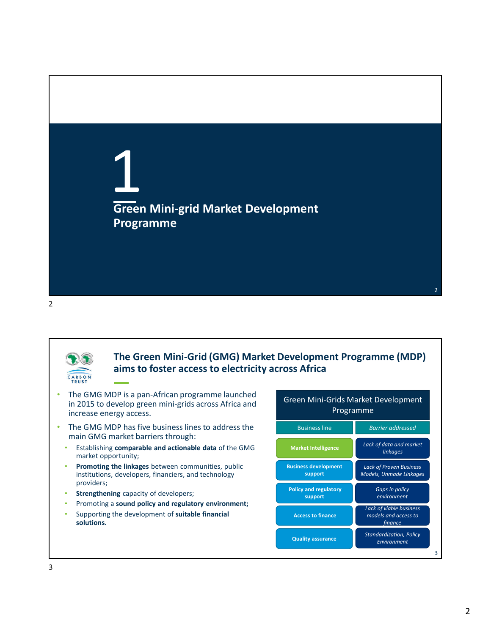





### **The Green Mini-Grid (GMG) Market Development Programme (MDP) aims to foster access to electricity across Africa**

- The GMG MDP is a pan-African programme launched in 2015 to develop green mini-grids across Africa and increase energy access.
- The GMG MDP has five business lines to address the main GMG market barriers through:
	- Establishing **comparable and actionable data** of the GMG market opportunity;
	- **Promoting the linkages** between communities, public institutions, developers, financiers, and technology providers;
	- **Strengthening** capacity of developers;
	- Promoting a **sound policy and regulatory environment;**
	- Supporting the development of **suitable financial solutions.**

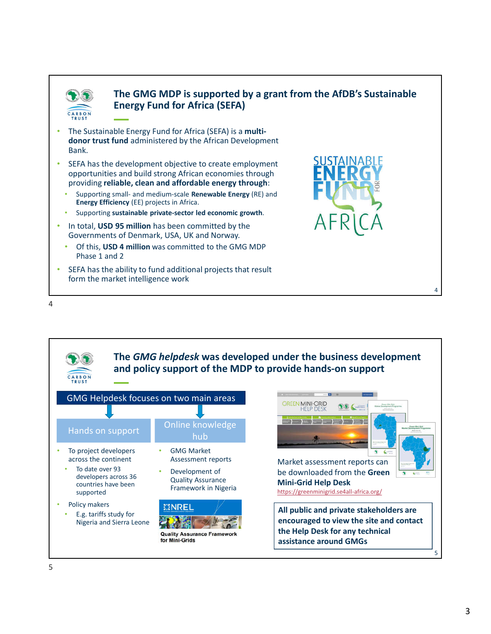

## **The GMG MDP is supported by a grant from the AfDB's Sustainable Energy Fund for Africa (SEFA)**

- The Sustainable Energy Fund for Africa (SEFA) is a **multidonor trust fund** administered by the African Development Bank.
- SEFA has the development objective to create employment opportunities and build strong African economies through providing **reliable, clean and affordable energy through**:
	- Supporting small- and medium-scale **Renewable Energy** (RE) and **Energy Efficiency** (EE) projects in Africa.
	- Supporting **sustainable private-sector led economic growth**.
- In total, **USD 95 million** has been committed by the Governments of Denmark, USA, UK and Norway.
	- Of this, **USD 4 million** was committed to the GMG MDP Phase 1 and 2
- SEFA has the ability to fund additional projects that result form the market intelligence work





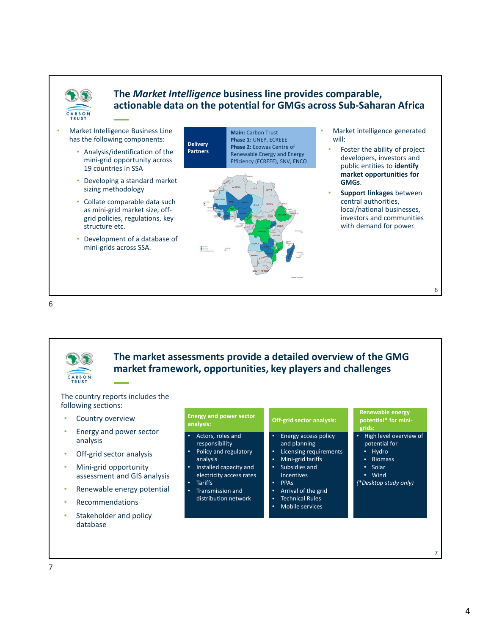

## **The** *Market Intelligence* **business line provides comparable, actionable data on the potential for GMGs across Sub-Saharan Africa**



6



**The market assessments provide a detailed overview of the GMG market framework, opportunities, key players and challenges**

#### The country reports includes the following sections:

- Country overview
- Energy and power sector analysis
- Off-grid sector analysis
- Mini-grid opportunity assessment and GIS analysis
- Renewable energy potential
- **Recommendations**
- Stakeholder and policy database

| <b>Energy and power sector</b><br>analysis:                                                                                                                                                                                  | Off-grid sector analysis:                                                                                                                                                                                                                                       | <b>Renewable energy</b><br>potential* for mini-<br>grids:                                                                             |
|------------------------------------------------------------------------------------------------------------------------------------------------------------------------------------------------------------------------------|-----------------------------------------------------------------------------------------------------------------------------------------------------------------------------------------------------------------------------------------------------------------|---------------------------------------------------------------------------------------------------------------------------------------|
| Actors, roles and<br>٠<br>responsibility<br>Policy and regulatory<br>٠<br>analysis<br>Installed capacity and<br>٠<br>electricity access rates<br><b>Tariffs</b><br>٠<br><b>Transmission and</b><br>٠<br>distribution network | Energy access policy<br>٠<br>and planning<br>Licensing requirements<br>٠<br>Mini-grid tariffs<br>٠<br>Subsidies and<br>٠<br><b>Incentives</b><br><b>PPA<sub>S</sub></b><br>٠<br>Arrival of the grid<br>٠<br><b>Technical Rules</b><br>٠<br>Mobile services<br>٠ | High level overview of<br>٠<br>potential for<br>Hydro<br>٠<br><b>Biomass</b><br>٠<br>Solar<br>٠<br>Wind<br>٠<br>(*Desktop study only) |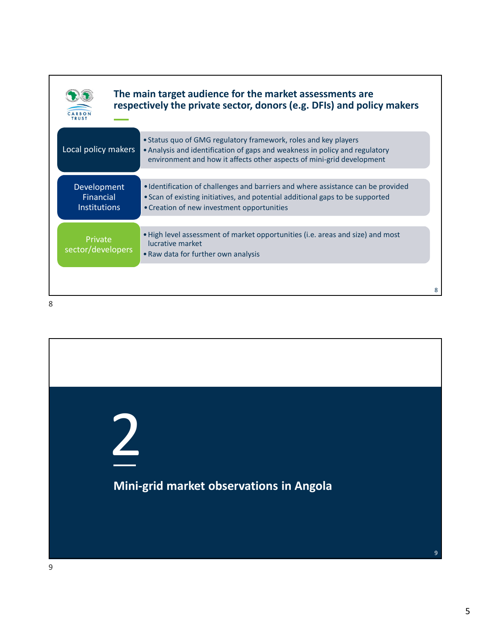|                                                 | The main target audience for the market assessments are<br>respectively the private sector, donors (e.g. DFIs) and policy makers                                                                                        |
|-------------------------------------------------|-------------------------------------------------------------------------------------------------------------------------------------------------------------------------------------------------------------------------|
| Local policy makers                             | • Status quo of GMG regulatory framework, roles and key players<br>• Analysis and identification of gaps and weakness in policy and regulatory<br>environment and how it affects other aspects of mini-grid development |
| Development<br>Financial<br><b>Institutions</b> | • Identification of challenges and barriers and where assistance can be provided<br>• Scan of existing initiatives, and potential additional gaps to be supported<br>• Creation of new investment opportunities         |
| Private<br>sector/developers                    | • High level assessment of market opportunities (i.e. areas and size) and most<br>lucrative market<br>• Raw data for further own analysis                                                                               |
|                                                 |                                                                                                                                                                                                                         |

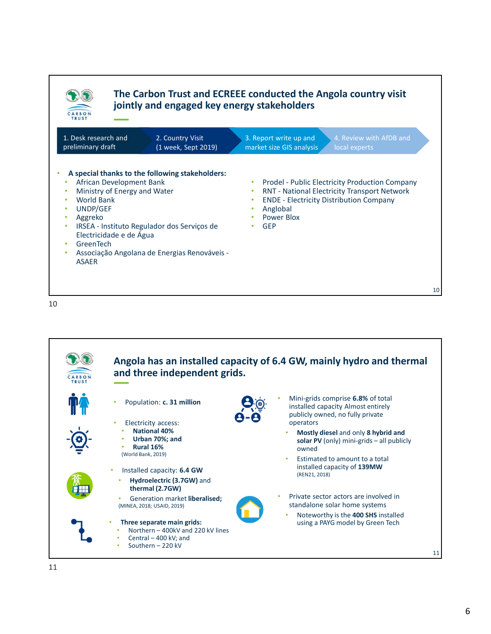



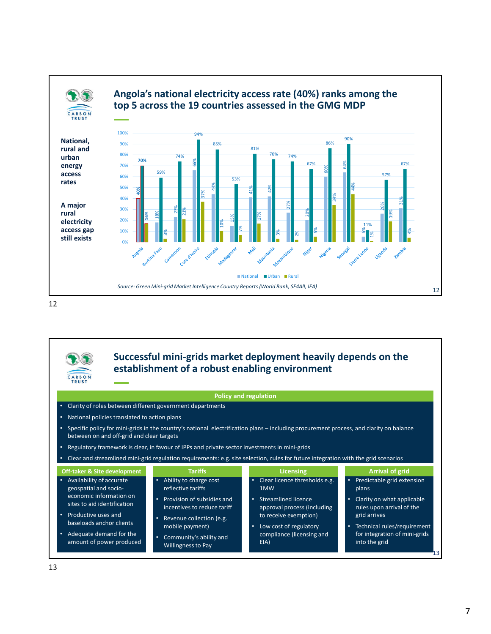



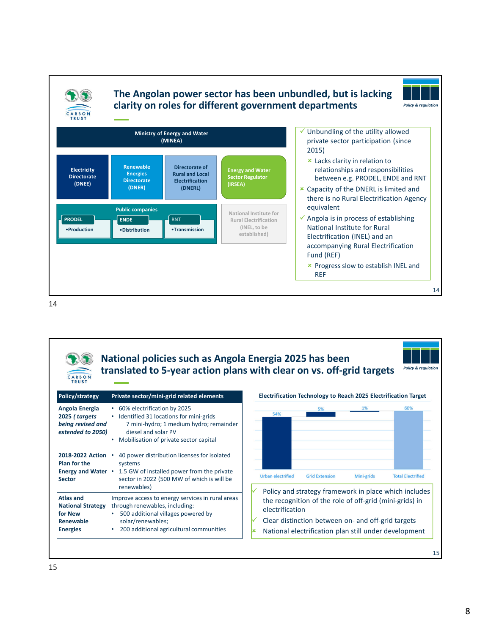

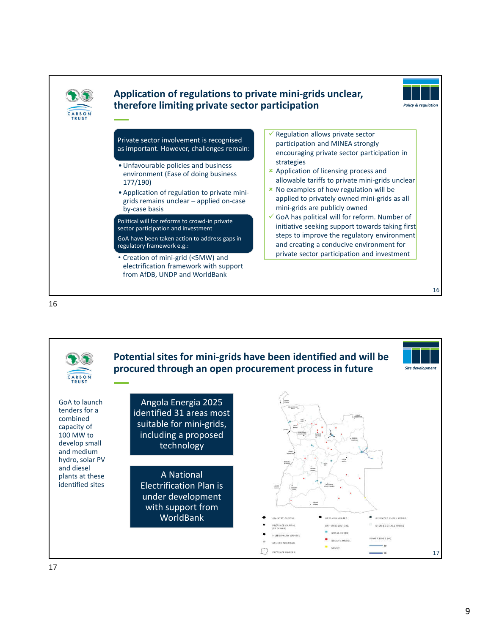

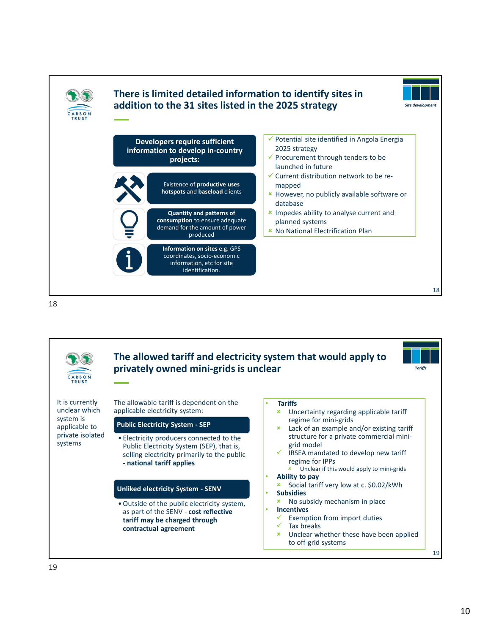



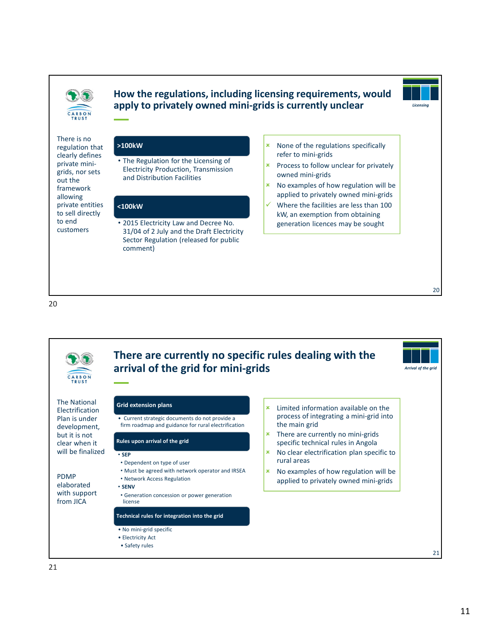

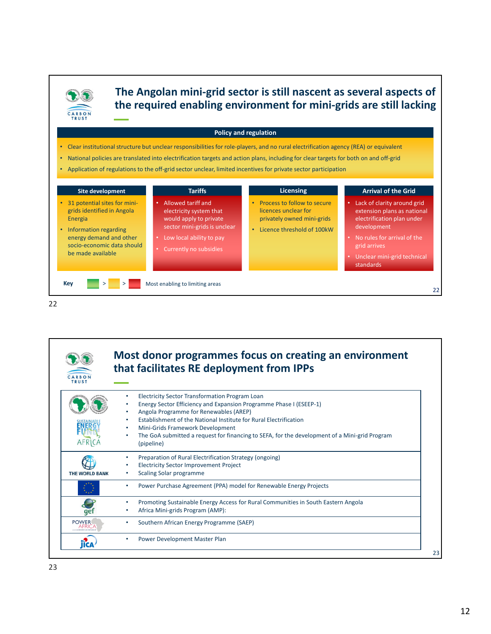

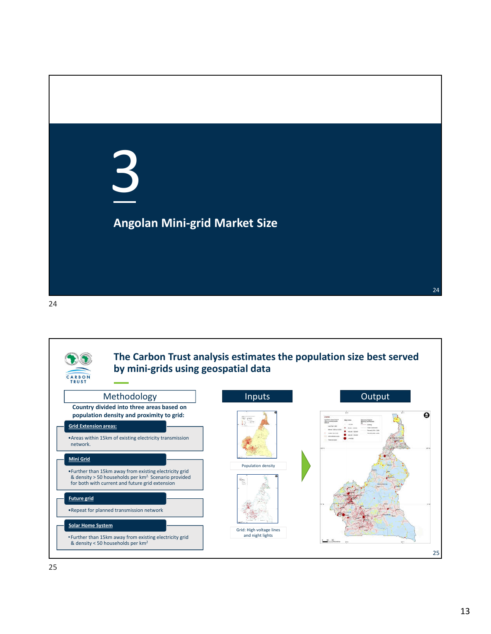

24

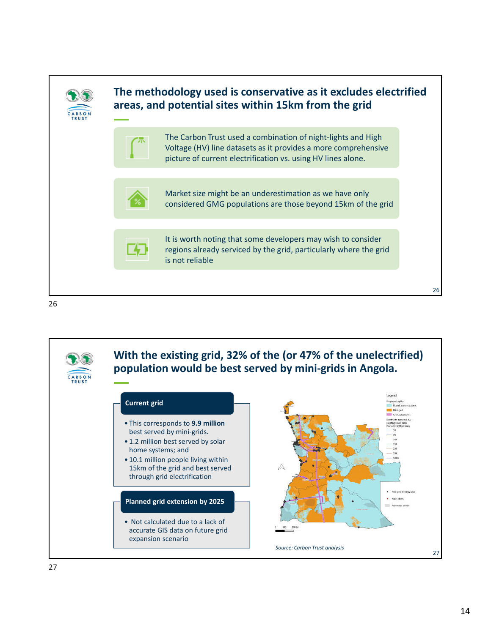

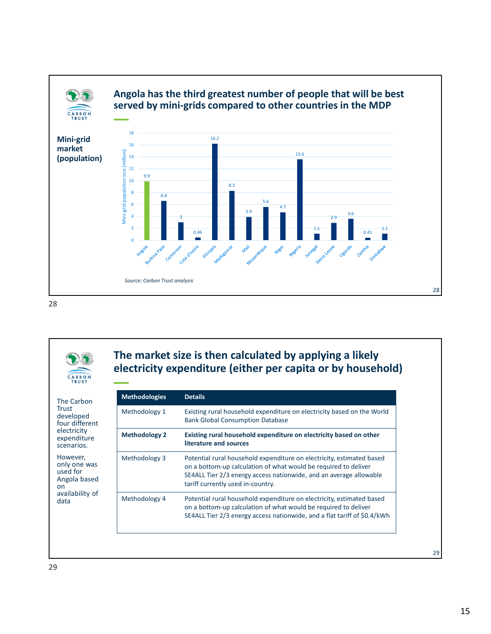

28



The Carbon Trust developed four different electricity expenditure scenarios. However, only one was used for Angola based

# **The market size is then calculated by applying a likely electricity expenditure (either per capita or by household)**

| <b>Methodologies</b> | <b>Details</b>                                                                                                                                                                                                                                      |  |  |
|----------------------|-----------------------------------------------------------------------------------------------------------------------------------------------------------------------------------------------------------------------------------------------------|--|--|
| Methodology 1        | Existing rural household expenditure on electricity based on the World<br><b>Bank Global Consumption Database</b>                                                                                                                                   |  |  |
| <b>Methodology 2</b> | Existing rural household expenditure on electricity based on other<br>literature and sources                                                                                                                                                        |  |  |
| Methodology 3        | Potential rural household expenditure on electricity, estimated based<br>on a bottom-up calculation of what would be required to deliver<br>SE4ALL Tier 2/3 energy access nationwide, and an average allowable<br>tariff currently used in-country. |  |  |
| Methodology 4        | Potential rural household expenditure on electricity, estimated based<br>on a bottom-up calculation of what would be required to deliver<br>SE4ALL Tier 2/3 energy access nationwide, and a flat tariff of \$0.4/kWh                                |  |  |

29

on

data

availability of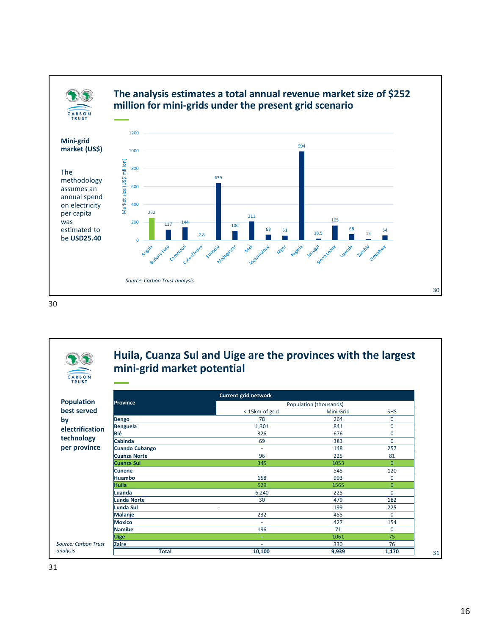





## **Huila, Cuanza Sul and Uige are the provinces with the largest mini-grid market potential**

|                       |                       | <b>Current grid network</b> |                        |              |  |
|-----------------------|-----------------------|-----------------------------|------------------------|--------------|--|
| <b>Population</b>     | Province              |                             | Population (thousands) |              |  |
| best served           |                       | <15km of grid               | Mini-Grid              | <b>SHS</b>   |  |
|                       | Bengo                 | 78                          | 264                    | $\Omega$     |  |
| by<br>electrification | Benguela              | 1,301                       | 841                    | $\mathbf 0$  |  |
|                       | Bié                   | 326                         | 676                    | $\mathbf 0$  |  |
| technology            | <b>Cabinda</b>        | 69                          | 383                    | $\mathbf 0$  |  |
| per province          | <b>Cuando Cubango</b> | ٠                           | 148                    | 257          |  |
|                       | <b>Cuanza Norte</b>   | 96                          | 225                    | 81           |  |
|                       | <b>Cuanza Sul</b>     | 345                         | 1053                   | $\mathbf{0}$ |  |
|                       | <b>Cunene</b>         | ٠                           | 545                    | 120          |  |
|                       | <b>Huambo</b>         | 658                         | 993                    | $\Omega$     |  |
|                       | <b>Huila</b>          | 529                         | 1565                   | $\mathbf{0}$ |  |
|                       | Luanda                | 6,240                       | 225                    | $\mathbf 0$  |  |
|                       | Lunda Norte           | 30                          | 479                    | 182          |  |
|                       | Lunda Sul             | ۰                           | 199                    | 225          |  |
|                       | Malanje               | 232                         | 455                    | $\Omega$     |  |
|                       | <b>Moxico</b>         | ×.                          | 427                    | 154          |  |
|                       | Namibe                | 196                         | 71                     | $\mathbf 0$  |  |
|                       | <b>Uige</b>           | ٠                           | 1061                   | 75           |  |
| Source: Carbon Trust  | Zaire                 | $\overline{\phantom{a}}$    | 330                    | 76           |  |
| analysis              | <b>Total</b>          | 10,100                      | 9,939                  | 1,170        |  |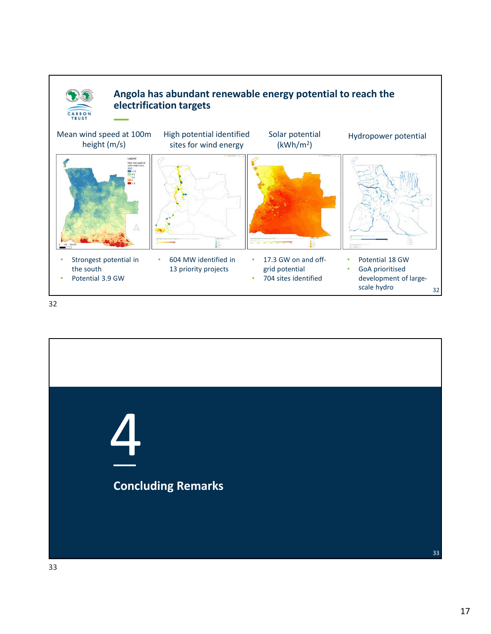

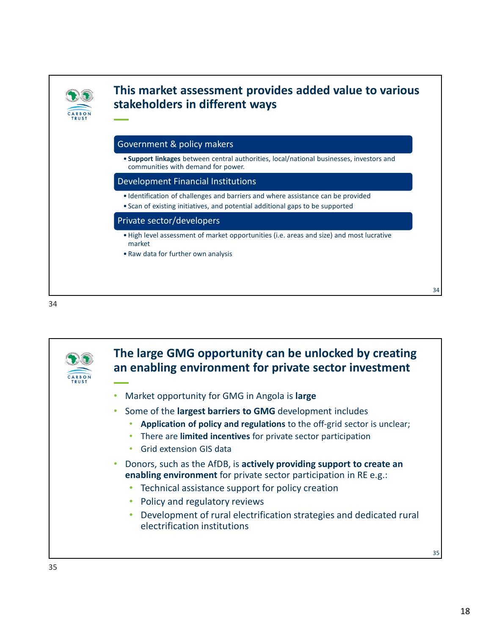